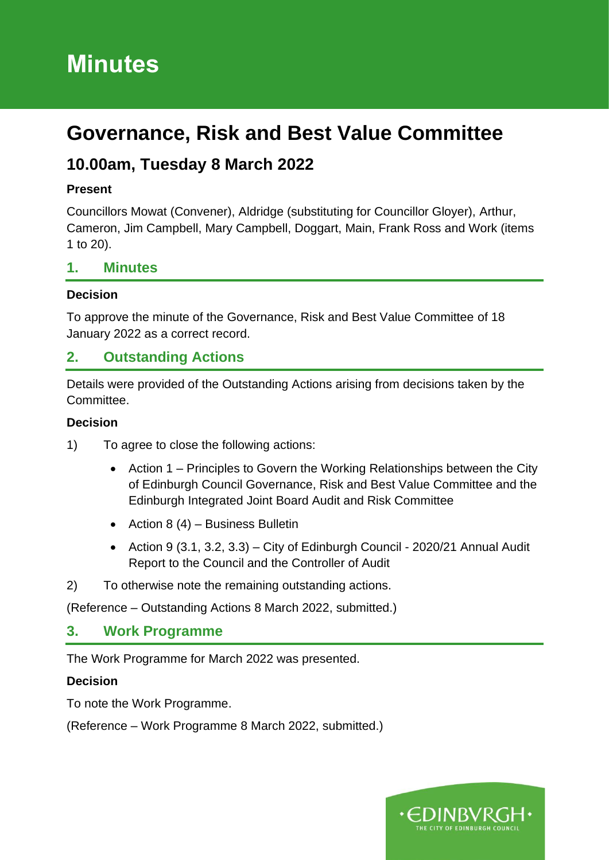# **Minutes**

# **Governance, Risk and Best Value Committee**

# **10.00am, Tuesday 8 March 2022**

#### **Present**

Councillors Mowat (Convener), Aldridge (substituting for Councillor Gloyer), Arthur, Cameron, Jim Campbell, Mary Campbell, Doggart, Main, Frank Ross and Work (items 1 to 20).

### **1. Minutes**

#### **Decision**

To approve the minute of the Governance, Risk and Best Value Committee of 18 January 2022 as a correct record.

### **2. Outstanding Actions**

Details were provided of the Outstanding Actions arising from decisions taken by the Committee.

#### **Decision**

- 1) To agree to close the following actions:
	- Action 1 Principles to Govern the Working Relationships between the City of Edinburgh Council Governance, Risk and Best Value Committee and the Edinburgh Integrated Joint Board Audit and Risk Committee
	- Action 8  $(4)$  Business Bulletin
	- Action 9 (3.1, 3.2, 3.3) City of Edinburgh Council 2020/21 Annual Audit Report to the Council and the Controller of Audit
- 2) To otherwise note the remaining outstanding actions.

(Reference – Outstanding Actions 8 March 2022, submitted.)

### **3. Work Programme**

The Work Programme for March 2022 was presented.

#### **Decision**

To note the Work Programme.

(Reference – Work Programme 8 March 2022, submitted.)

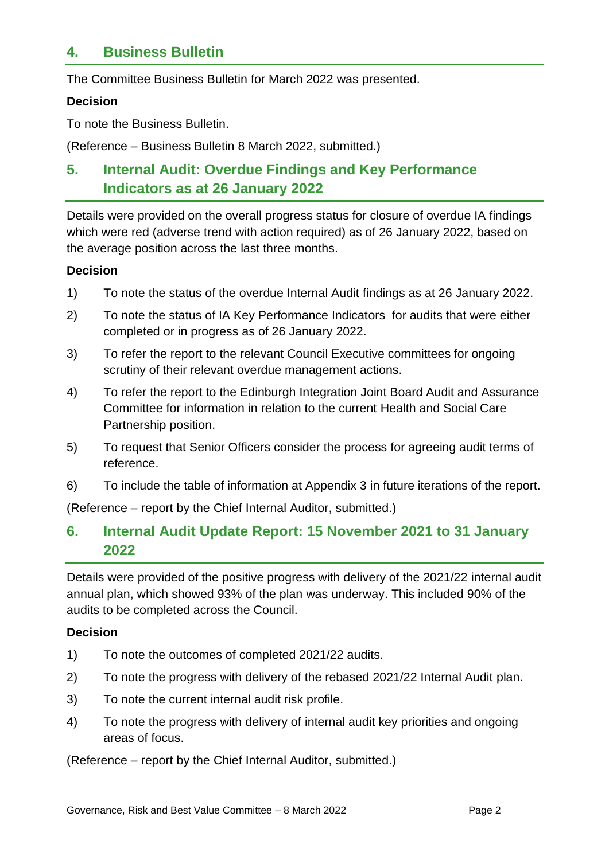### **4. Business Bulletin**

The Committee Business Bulletin for March 2022 was presented.

#### **Decision**

To note the Business Bulletin.

(Reference – Business Bulletin 8 March 2022, submitted.)

# **5. Internal Audit: Overdue Findings and Key Performance Indicators as at 26 January 2022**

Details were provided on the overall progress status for closure of overdue IA findings which were red (adverse trend with action required) as of 26 January 2022, based on the average position across the last three months.

#### **Decision**

- 1) To note the status of the overdue Internal Audit findings as at 26 January 2022.
- 2) To note the status of IA Key Performance Indicators for audits that were either completed or in progress as of 26 January 2022.
- 3) To refer the report to the relevant Council Executive committees for ongoing scrutiny of their relevant overdue management actions.
- 4) To refer the report to the Edinburgh Integration Joint Board Audit and Assurance Committee for information in relation to the current Health and Social Care Partnership position.
- 5) To request that Senior Officers consider the process for agreeing audit terms of reference.
- 6) To include the table of information at Appendix 3 in future iterations of the report.

(Reference – report by the Chief Internal Auditor, submitted.)

### **6. Internal Audit Update Report: 15 November 2021 to 31 January 2022**

Details were provided of the positive progress with delivery of the 2021/22 internal audit annual plan, which showed 93% of the plan was underway. This included 90% of the audits to be completed across the Council.

#### **Decision**

- 1) To note the outcomes of completed 2021/22 audits.
- 2) To note the progress with delivery of the rebased 2021/22 Internal Audit plan.
- 3) To note the current internal audit risk profile.
- 4) To note the progress with delivery of internal audit key priorities and ongoing areas of focus.

(Reference – report by the Chief Internal Auditor, submitted.)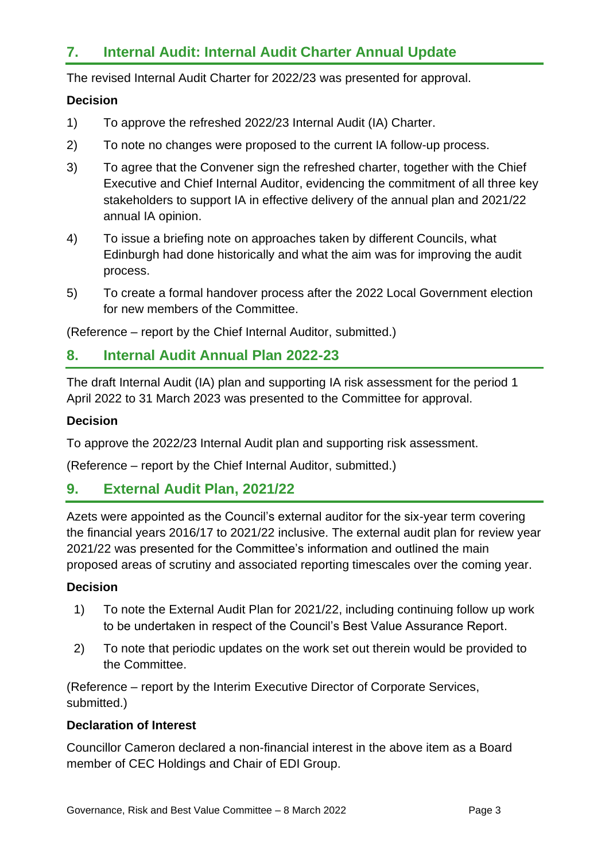# **7. Internal Audit: Internal Audit Charter Annual Update**

The revised Internal Audit Charter for 2022/23 was presented for approval.

#### **Decision**

- 1) To approve the refreshed 2022/23 Internal Audit (IA) Charter.
- 2) To note no changes were proposed to the current IA follow-up process.
- 3) To agree that the Convener sign the refreshed charter, together with the Chief Executive and Chief Internal Auditor, evidencing the commitment of all three key stakeholders to support IA in effective delivery of the annual plan and 2021/22 annual IA opinion.
- 4) To issue a briefing note on approaches taken by different Councils, what Edinburgh had done historically and what the aim was for improving the audit process.
- 5) To create a formal handover process after the 2022 Local Government election for new members of the Committee.

(Reference – report by the Chief Internal Auditor, submitted.)

### **8. Internal Audit Annual Plan 2022-23**

The draft Internal Audit (IA) plan and supporting IA risk assessment for the period 1 April 2022 to 31 March 2023 was presented to the Committee for approval.

#### **Decision**

To approve the 2022/23 Internal Audit plan and supporting risk assessment.

(Reference – report by the Chief Internal Auditor, submitted.)

### **9. External Audit Plan, 2021/22**

Azets were appointed as the Council's external auditor for the six-year term covering the financial years 2016/17 to 2021/22 inclusive. The external audit plan for review year 2021/22 was presented for the Committee's information and outlined the main proposed areas of scrutiny and associated reporting timescales over the coming year.

#### **Decision**

- 1) To note the External Audit Plan for 2021/22, including continuing follow up work to be undertaken in respect of the Council's Best Value Assurance Report.
- 2) To note that periodic updates on the work set out therein would be provided to the Committee.

(Reference – report by the Interim Executive Director of Corporate Services, submitted.)

#### **Declaration of Interest**

Councillor Cameron declared a non-financial interest in the above item as a Board member of CEC Holdings and Chair of EDI Group.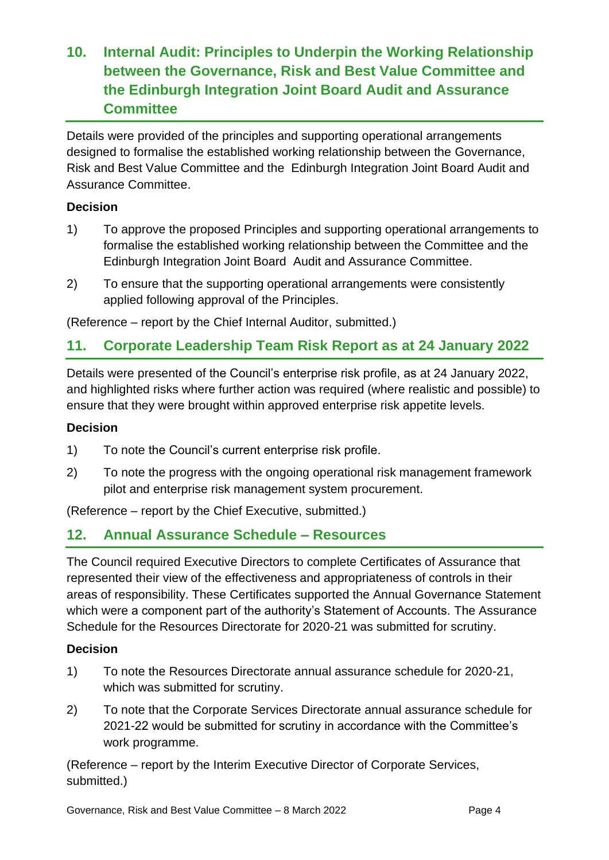# **10. Internal Audit: Principles to Underpin the Working Relationship between the Governance, Risk and Best Value Committee and the Edinburgh Integration Joint Board Audit and Assurance Committee**

Details were provided of the principles and supporting operational arrangements designed to formalise the established working relationship between the Governance, Risk and Best Value Committee and the Edinburgh Integration Joint Board Audit and Assurance Committee.

#### **Decision**

- 1) To approve the proposed Principles and supporting operational arrangements to formalise the established working relationship between the Committee and the Edinburgh Integration Joint Board Audit and Assurance Committee.
- 2) To ensure that the supporting operational arrangements were consistently applied following approval of the Principles.

(Reference – report by the Chief Internal Auditor, submitted.)

## **11. Corporate Leadership Team Risk Report as at 24 January 2022**

Details were presented of the Council's enterprise risk profile, as at 24 January 2022, and highlighted risks where further action was required (where realistic and possible) to ensure that they were brought within approved enterprise risk appetite levels.

#### **Decision**

- 1) To note the Council's current enterprise risk profile.
- 2) To note the progress with the ongoing operational risk management framework pilot and enterprise risk management system procurement.

(Reference – report by the Chief Executive, submitted.)

### **12. Annual Assurance Schedule – Resources**

The Council required Executive Directors to complete Certificates of Assurance that represented their view of the effectiveness and appropriateness of controls in their areas of responsibility. These Certificates supported the Annual Governance Statement which were a component part of the authority's Statement of Accounts. The Assurance Schedule for the Resources Directorate for 2020-21 was submitted for scrutiny.

#### **Decision**

- 1) To note the Resources Directorate annual assurance schedule for 2020-21, which was submitted for scrutiny.
- 2) To note that the Corporate Services Directorate annual assurance schedule for 2021-22 would be submitted for scrutiny in accordance with the Committee's work programme.

(Reference – report by the Interim Executive Director of Corporate Services, submitted.)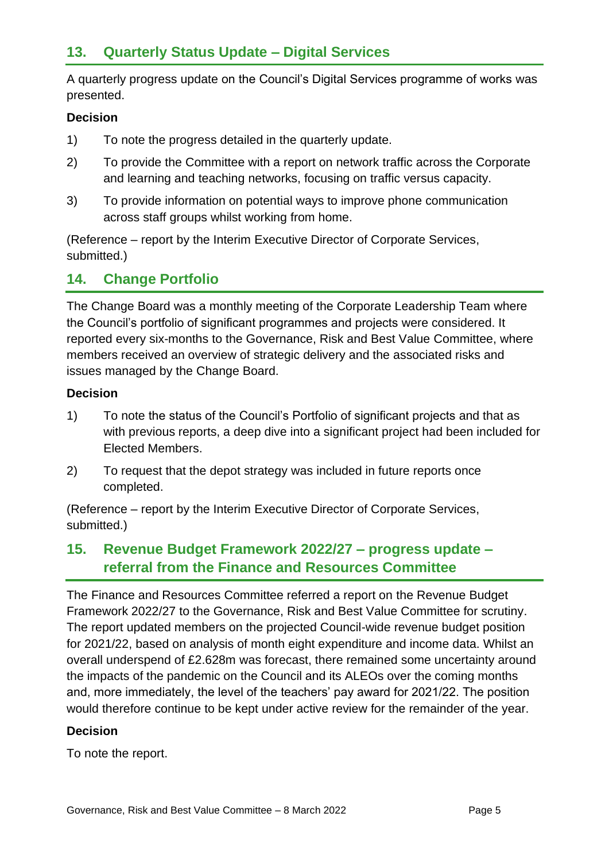A quarterly progress update on the Council's Digital Services programme of works was presented.

#### **Decision**

- 1) To note the progress detailed in the quarterly update.
- 2) To provide the Committee with a report on network traffic across the Corporate and learning and teaching networks, focusing on traffic versus capacity.
- 3) To provide information on potential ways to improve phone communication across staff groups whilst working from home.

(Reference – report by the Interim Executive Director of Corporate Services, submitted.)

## **14. Change Portfolio**

The Change Board was a monthly meeting of the Corporate Leadership Team where the Council's portfolio of significant programmes and projects were considered. It reported every six-months to the Governance, Risk and Best Value Committee, where members received an overview of strategic delivery and the associated risks and issues managed by the Change Board.

#### **Decision**

- 1) To note the status of the Council's Portfolio of significant projects and that as with previous reports, a deep dive into a significant project had been included for Elected Members.
- 2) To request that the depot strategy was included in future reports once completed.

(Reference – report by the Interim Executive Director of Corporate Services, submitted.)

## **15. Revenue Budget Framework 2022/27 – progress update – referral from the Finance and Resources Committee**

The Finance and Resources Committee referred a report on the Revenue Budget Framework 2022/27 to the Governance, Risk and Best Value Committee for scrutiny. The report updated members on the projected Council-wide revenue budget position for 2021/22, based on analysis of month eight expenditure and income data. Whilst an overall underspend of £2.628m was forecast, there remained some uncertainty around the impacts of the pandemic on the Council and its ALEOs over the coming months and, more immediately, the level of the teachers' pay award for 2021/22. The position would therefore continue to be kept under active review for the remainder of the year.

#### **Decision**

To note the report.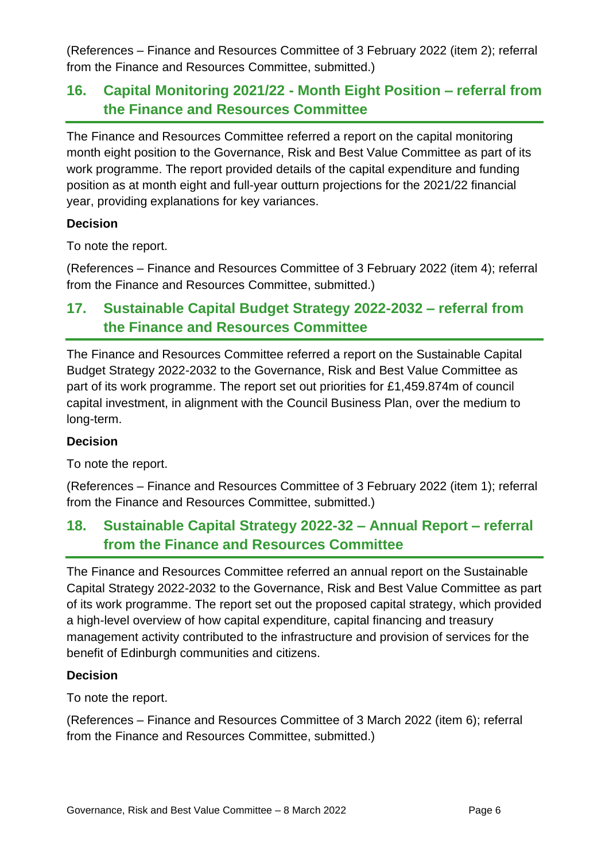(References – Finance and Resources Committee of 3 February 2022 (item 2); referral from the Finance and Resources Committee, submitted.)

# **16. Capital Monitoring 2021/22 - Month Eight Position – referral from the Finance and Resources Committee**

The Finance and Resources Committee referred a report on the capital monitoring month eight position to the Governance, Risk and Best Value Committee as part of its work programme. The report provided details of the capital expenditure and funding position as at month eight and full-year outturn projections for the 2021/22 financial year, providing explanations for key variances.

#### **Decision**

To note the report.

(References – Finance and Resources Committee of 3 February 2022 (item 4); referral from the Finance and Resources Committee, submitted.)

# **17. Sustainable Capital Budget Strategy 2022-2032 – referral from the Finance and Resources Committee**

The Finance and Resources Committee referred a report on the Sustainable Capital Budget Strategy 2022-2032 to the Governance, Risk and Best Value Committee as part of its work programme. The report set out priorities for £1,459.874m of council capital investment, in alignment with the Council Business Plan, over the medium to long-term.

#### **Decision**

To note the report.

(References – Finance and Resources Committee of 3 February 2022 (item 1); referral from the Finance and Resources Committee, submitted.)

## **18. Sustainable Capital Strategy 2022-32 – Annual Report – referral from the Finance and Resources Committee**

The Finance and Resources Committee referred an annual report on the Sustainable Capital Strategy 2022-2032 to the Governance, Risk and Best Value Committee as part of its work programme. The report set out the proposed capital strategy, which provided a high-level overview of how capital expenditure, capital financing and treasury management activity contributed to the infrastructure and provision of services for the benefit of Edinburgh communities and citizens.

#### **Decision**

To note the report.

(References – Finance and Resources Committee of 3 March 2022 (item 6); referral from the Finance and Resources Committee, submitted.)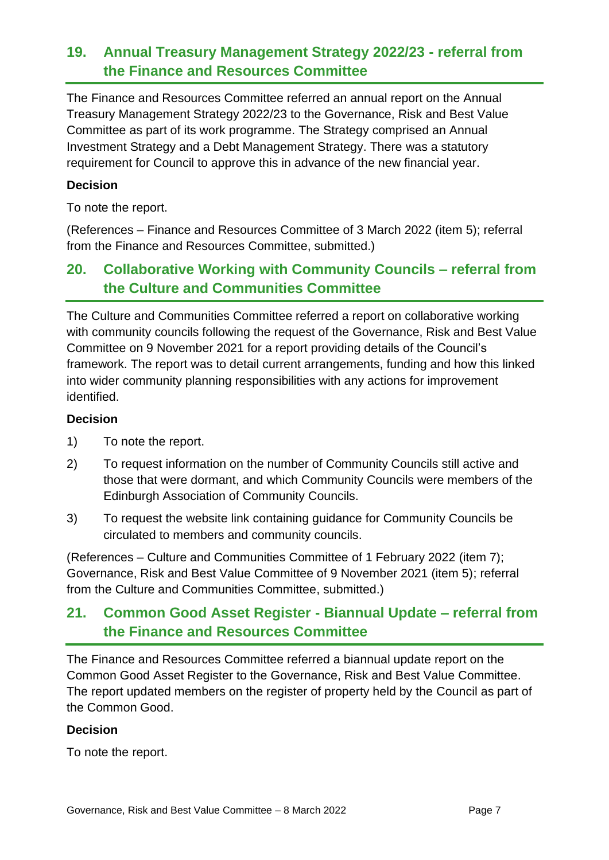# **19. Annual Treasury Management Strategy 2022/23 - referral from the Finance and Resources Committee**

The Finance and Resources Committee referred an annual report on the Annual Treasury Management Strategy 2022/23 to the Governance, Risk and Best Value Committee as part of its work programme. The Strategy comprised an Annual Investment Strategy and a Debt Management Strategy. There was a statutory requirement for Council to approve this in advance of the new financial year.

#### **Decision**

To note the report.

(References – Finance and Resources Committee of 3 March 2022 (item 5); referral from the Finance and Resources Committee, submitted.)

# **20. Collaborative Working with Community Councils – referral from the Culture and Communities Committee**

The Culture and Communities Committee referred a report on collaborative working with community councils following the request of the Governance, Risk and Best Value Committee on 9 November 2021 for a report providing details of the Council's framework. The report was to detail current arrangements, funding and how this linked into wider community planning responsibilities with any actions for improvement identified.

#### **Decision**

- 1) To note the report.
- 2) To request information on the number of Community Councils still active and those that were dormant, and which Community Councils were members of the Edinburgh Association of Community Councils.
- 3) To request the website link containing guidance for Community Councils be circulated to members and community councils.

(References – Culture and Communities Committee of 1 February 2022 (item 7); Governance, Risk and Best Value Committee of 9 November 2021 (item 5); referral from the Culture and Communities Committee, submitted.)

# **21. Common Good Asset Register - Biannual Update – referral from the Finance and Resources Committee**

The Finance and Resources Committee referred a biannual update report on the Common Good Asset Register to the Governance, Risk and Best Value Committee. The report updated members on the register of property held by the Council as part of the Common Good.

#### **Decision**

To note the report.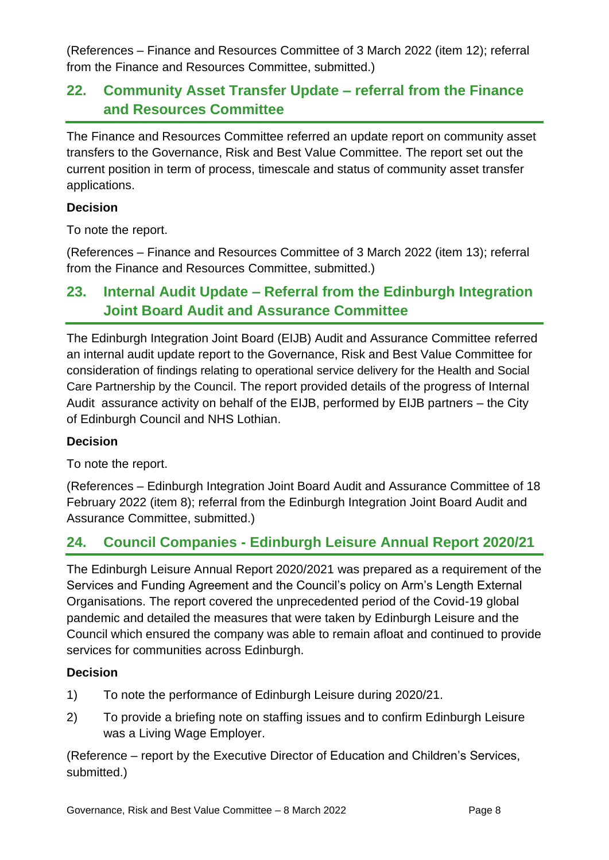(References – Finance and Resources Committee of 3 March 2022 (item 12); referral from the Finance and Resources Committee, submitted.)

# **22. Community Asset Transfer Update – referral from the Finance and Resources Committee**

The Finance and Resources Committee referred an update report on community asset transfers to the Governance, Risk and Best Value Committee. The report set out the current position in term of process, timescale and status of community asset transfer applications.

#### **Decision**

To note the report.

(References – Finance and Resources Committee of 3 March 2022 (item 13); referral from the Finance and Resources Committee, submitted.)

# **23. Internal Audit Update – Referral from the Edinburgh Integration Joint Board Audit and Assurance Committee**

The Edinburgh Integration Joint Board (EIJB) Audit and Assurance Committee referred an internal audit update report to the Governance, Risk and Best Value Committee for consideration of findings relating to operational service delivery for the Health and Social Care Partnership by the Council. The report provided details of the progress of Internal Audit assurance activity on behalf of the EIJB, performed by EIJB partners – the City of Edinburgh Council and NHS Lothian.

#### **Decision**

To note the report.

(References – Edinburgh Integration Joint Board Audit and Assurance Committee of 18 February 2022 (item 8); referral from the Edinburgh Integration Joint Board Audit and Assurance Committee, submitted.)

## **24. Council Companies - Edinburgh Leisure Annual Report 2020/21**

The Edinburgh Leisure Annual Report 2020/2021 was prepared as a requirement of the Services and Funding Agreement and the Council's policy on Arm's Length External Organisations. The report covered the unprecedented period of the Covid-19 global pandemic and detailed the measures that were taken by Edinburgh Leisure and the Council which ensured the company was able to remain afloat and continued to provide services for communities across Edinburgh.

#### **Decision**

- 1) To note the performance of Edinburgh Leisure during 2020/21.
- 2) To provide a briefing note on staffing issues and to confirm Edinburgh Leisure was a Living Wage Employer.

(Reference – report by the Executive Director of Education and Children's Services, submitted.)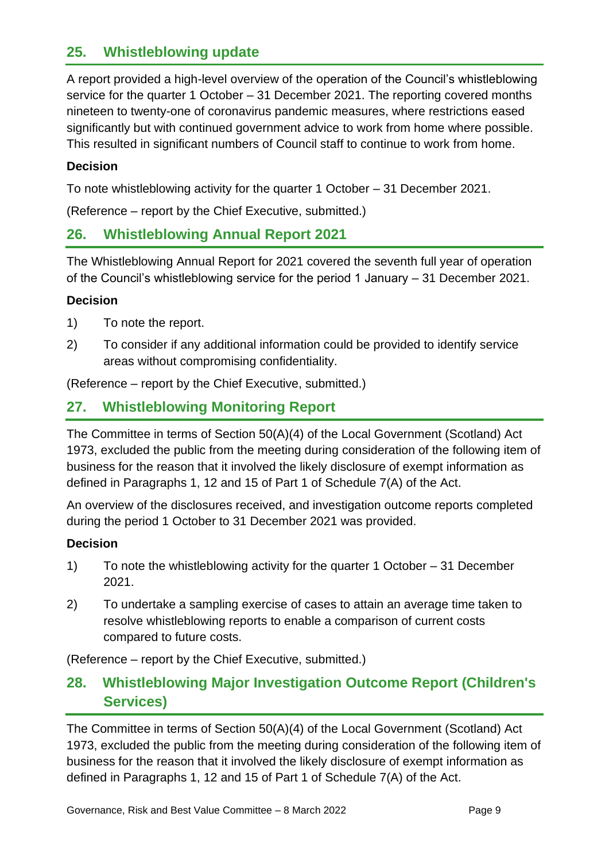### **25. Whistleblowing update**

A report provided a high-level overview of the operation of the Council's whistleblowing service for the quarter 1 October – 31 December 2021. The reporting covered months nineteen to twenty-one of coronavirus pandemic measures, where restrictions eased significantly but with continued government advice to work from home where possible. This resulted in significant numbers of Council staff to continue to work from home.

#### **Decision**

To note whistleblowing activity for the quarter 1 October – 31 December 2021.

(Reference – report by the Chief Executive, submitted.)

### **26. Whistleblowing Annual Report 2021**

The Whistleblowing Annual Report for 2021 covered the seventh full year of operation of the Council's whistleblowing service for the period 1 January – 31 December 2021.

#### **Decision**

- 1) To note the report.
- 2) To consider if any additional information could be provided to identify service areas without compromising confidentiality.

(Reference – report by the Chief Executive, submitted.)

# **27. Whistleblowing Monitoring Report**

The Committee in terms of Section 50(A)(4) of the Local Government (Scotland) Act 1973, excluded the public from the meeting during consideration of the following item of business for the reason that it involved the likely disclosure of exempt information as defined in Paragraphs 1, 12 and 15 of Part 1 of Schedule 7(A) of the Act.

An overview of the disclosures received, and investigation outcome reports completed during the period 1 October to 31 December 2021 was provided.

#### **Decision**

- 1) To note the whistleblowing activity for the quarter 1 October 31 December 2021.
- 2) To undertake a sampling exercise of cases to attain an average time taken to resolve whistleblowing reports to enable a comparison of current costs compared to future costs.

(Reference – report by the Chief Executive, submitted.)

## **28. Whistleblowing Major Investigation Outcome Report (Children's Services)**

The Committee in terms of Section 50(A)(4) of the Local Government (Scotland) Act 1973, excluded the public from the meeting during consideration of the following item of business for the reason that it involved the likely disclosure of exempt information as defined in Paragraphs 1, 12 and 15 of Part 1 of Schedule 7(A) of the Act.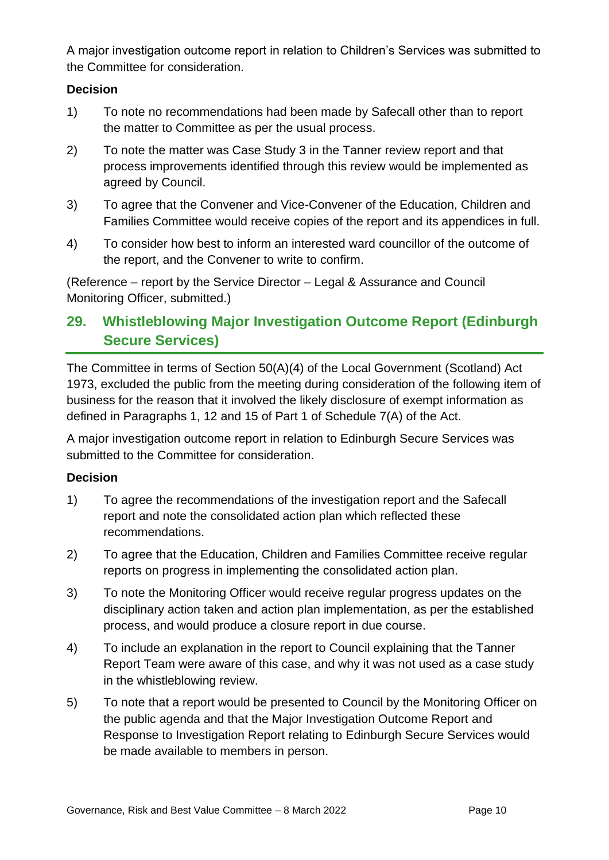A major investigation outcome report in relation to Children's Services was submitted to the Committee for consideration.

#### **Decision**

- 1) To note no recommendations had been made by Safecall other than to report the matter to Committee as per the usual process.
- 2) To note the matter was Case Study 3 in the Tanner review report and that process improvements identified through this review would be implemented as agreed by Council.
- 3) To agree that the Convener and Vice-Convener of the Education, Children and Families Committee would receive copies of the report and its appendices in full.
- 4) To consider how best to inform an interested ward councillor of the outcome of the report, and the Convener to write to confirm.

(Reference – report by the Service Director – Legal & Assurance and Council Monitoring Officer, submitted.)

# **29. Whistleblowing Major Investigation Outcome Report (Edinburgh Secure Services)**

The Committee in terms of Section 50(A)(4) of the Local Government (Scotland) Act 1973, excluded the public from the meeting during consideration of the following item of business for the reason that it involved the likely disclosure of exempt information as defined in Paragraphs 1, 12 and 15 of Part 1 of Schedule 7(A) of the Act.

A major investigation outcome report in relation to Edinburgh Secure Services was submitted to the Committee for consideration.

#### **Decision**

- 1) To agree the recommendations of the investigation report and the Safecall report and note the consolidated action plan which reflected these recommendations.
- 2) To agree that the Education, Children and Families Committee receive regular reports on progress in implementing the consolidated action plan.
- 3) To note the Monitoring Officer would receive regular progress updates on the disciplinary action taken and action plan implementation, as per the established process, and would produce a closure report in due course.
- 4) To include an explanation in the report to Council explaining that the Tanner Report Team were aware of this case, and why it was not used as a case study in the whistleblowing review.
- 5) To note that a report would be presented to Council by the Monitoring Officer on the public agenda and that the Major Investigation Outcome Report and Response to Investigation Report relating to Edinburgh Secure Services would be made available to members in person.